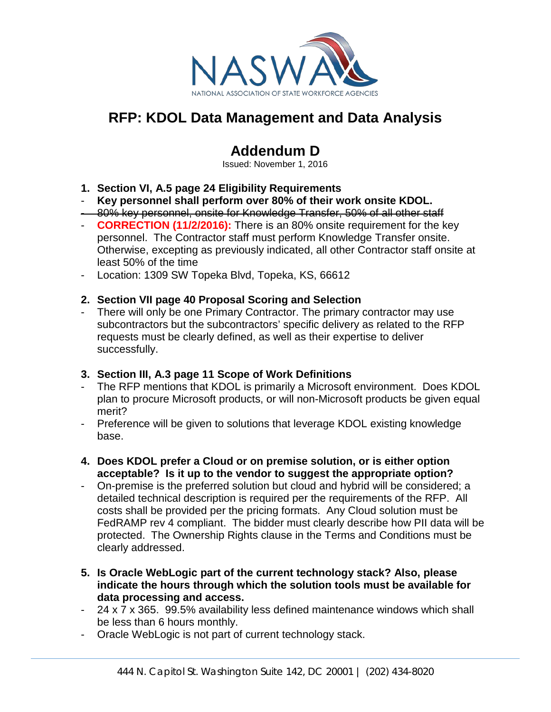

# **RFP: KDOL Data Management and Data Analysis**

## **Addendum D**

Issued: November 1, 2016

- **1. Section VI, A.5 page 24 Eligibility Requirements**
- **Key personnel shall perform over 80% of their work onsite KDOL.**
- 80% key personnel, onsite for Knowledge Transfer, 50% of all other staff
- **CORRECTION (11/2/2016):** There is an 80% onsite requirement for the key personnel. The Contractor staff must perform Knowledge Transfer onsite. Otherwise, excepting as previously indicated, all other Contractor staff onsite at least 50% of the time
- Location: 1309 SW Topeka Blvd, Topeka, KS, 66612

## **2. Section VII page 40 Proposal Scoring and Selection**

- There will only be one Primary Contractor. The primary contractor may use subcontractors but the subcontractors' specific delivery as related to the RFP requests must be clearly defined, as well as their expertise to deliver successfully.

#### **3. Section III, A.3 page 11 Scope of Work Definitions**

- The RFP mentions that KDOL is primarily a Microsoft environment. Does KDOL plan to procure Microsoft products, or will non-Microsoft products be given equal merit?
- Preference will be given to solutions that leverage KDOL existing knowledge base.
- **4. Does KDOL prefer a Cloud or on premise solution, or is either option acceptable? Is it up to the vendor to suggest the appropriate option?**
- On-premise is the preferred solution but cloud and hybrid will be considered; a detailed technical description is required per the requirements of the RFP. All costs shall be provided per the pricing formats. Any Cloud solution must be FedRAMP rev 4 compliant. The bidder must clearly describe how PII data will be protected. The Ownership Rights clause in the Terms and Conditions must be clearly addressed.
- **5. Is Oracle WebLogic part of the current technology stack? Also, please indicate the hours through which the solution tools must be available for data processing and access.**
- 24 x 7 x 365. 99.5% availability less defined maintenance windows which shall be less than 6 hours monthly.
- Oracle WebLogic is not part of current technology stack.